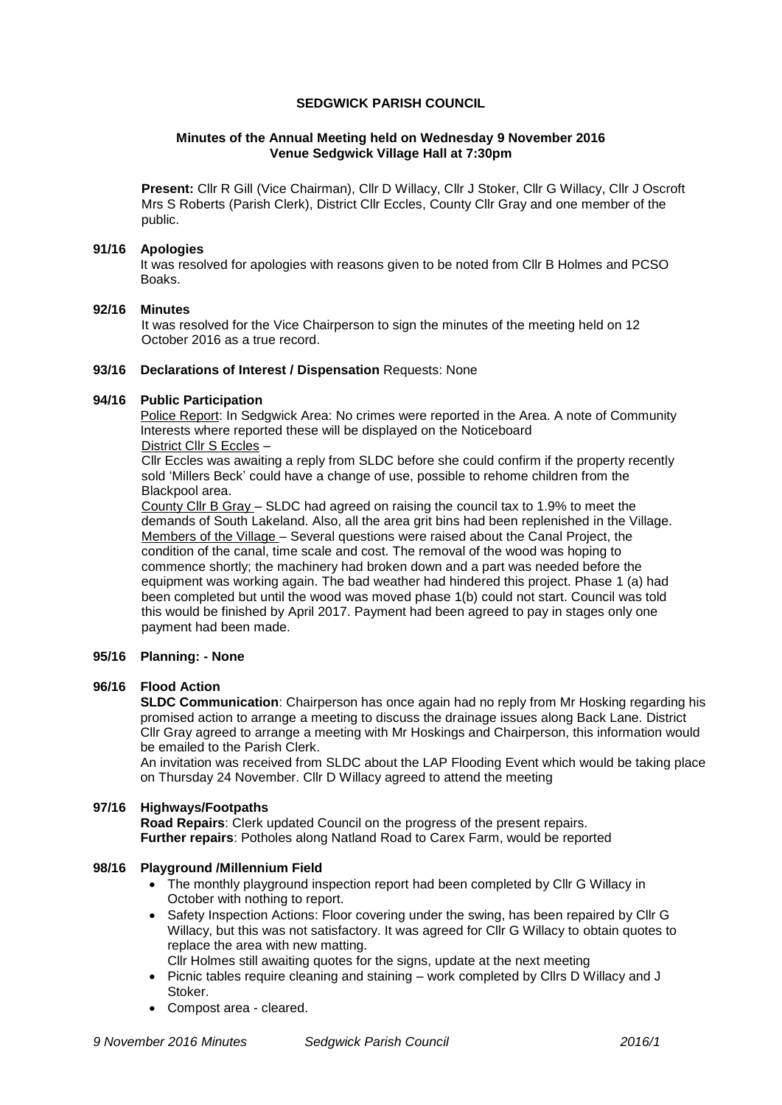### **SEDGWICK PARISH COUNCIL**

### **Minutes of the Annual Meeting held on Wednesday 9 November 2016 Venue Sedgwick Village Hall at 7:30pm**

**Present:** Cllr R Gill (Vice Chairman), Cllr D Willacy, Cllr J Stoker, Cllr G Willacy, Cllr J Oscroft Mrs S Roberts (Parish Clerk), District Cllr Eccles, County Cllr Gray and one member of the public.

### **91/16 Apologies**

It was resolved for apologies with reasons given to be noted from Cllr B Holmes and PCSO Boaks.

### **92/16 Minutes**

It was resolved for the Vice Chairperson to sign the minutes of the meeting held on 12 October 2016 as a true record.

# **93/16 Declarations of Interest / Dispensation** Requests: None

### **94/16 Public Participation**

Police Report: In Sedgwick Area: No crimes were reported in the Area. A note of Community Interests where reported these will be displayed on the Noticeboard District Cllr S Eccles –

Cllr Eccles was awaiting a reply from SLDC before she could confirm if the property recently sold 'Millers Beck' could have a change of use, possible to rehome children from the Blackpool area.

County Cllr B Gray – SLDC had agreed on raising the council tax to 1.9% to meet the demands of South Lakeland. Also, all the area grit bins had been replenished in the Village. Members of the Village – Several questions were raised about the Canal Project, the condition of the canal, time scale and cost. The removal of the wood was hoping to commence shortly; the machinery had broken down and a part was needed before the equipment was working again. The bad weather had hindered this project. Phase 1 (a) had been completed but until the wood was moved phase 1(b) could not start. Council was told this would be finished by April 2017. Payment had been agreed to pay in stages only one payment had been made.

# **95/16 Planning: - None**

# **96/16 Flood Action**

**SLDC Communication**: Chairperson has once again had no reply from Mr Hosking regarding his promised action to arrange a meeting to discuss the drainage issues along Back Lane. District Cllr Gray agreed to arrange a meeting with Mr Hoskings and Chairperson, this information would be emailed to the Parish Clerk.

An invitation was received from SLDC about the LAP Flooding Event which would be taking place on Thursday 24 November. Cllr D Willacy agreed to attend the meeting

#### **97/16 Highways/Footpaths**

**Road Repairs**: Clerk updated Council on the progress of the present repairs. **Further repairs**: Potholes along Natland Road to Carex Farm, would be reported

# **98/16 Playground /Millennium Field**

- The monthly playground inspection report had been completed by Cllr G Willacy in October with nothing to report.
- Safety Inspection Actions: Floor covering under the swing, has been repaired by Cllr G Willacy, but this was not satisfactory. It was agreed for Cllr G Willacy to obtain quotes to replace the area with new matting. Cllr Holmes still awaiting quotes for the signs, update at the next meeting
- Picnic tables require cleaning and staining work completed by Cllrs D Willacy and J Stoker.
- Compost area cleared.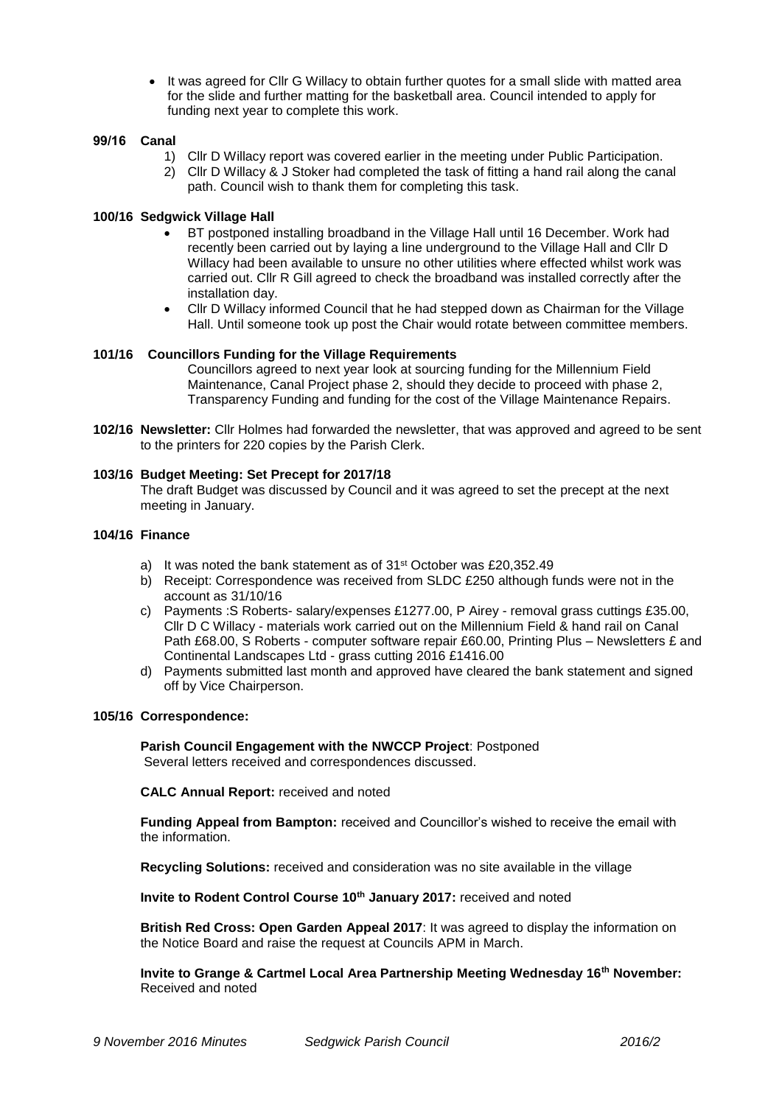• It was agreed for Cllr G Willacy to obtain further quotes for a small slide with matted area for the slide and further matting for the basketball area. Council intended to apply for funding next year to complete this work.

### **99/16 Canal**

- 1) Cllr D Willacy report was covered earlier in the meeting under Public Participation.
- 2) Cllr D Willacy & J Stoker had completed the task of fitting a hand rail along the canal path. Council wish to thank them for completing this task.

### **100/16 Sedgwick Village Hall**

- BT postponed installing broadband in the Village Hall until 16 December. Work had recently been carried out by laying a line underground to the Village Hall and Cllr D Willacy had been available to unsure no other utilities where effected whilst work was carried out. Cllr R Gill agreed to check the broadband was installed correctly after the installation day.
- Cllr D Willacy informed Council that he had stepped down as Chairman for the Village Hall. Until someone took up post the Chair would rotate between committee members.

# **101/16 Councillors Funding for the Village Requirements**

Councillors agreed to next year look at sourcing funding for the Millennium Field Maintenance, Canal Project phase 2, should they decide to proceed with phase 2, Transparency Funding and funding for the cost of the Village Maintenance Repairs.

**102/16 Newsletter:** Cllr Holmes had forwarded the newsletter, that was approved and agreed to be sent to the printers for 220 copies by the Parish Clerk.

#### **103/16 Budget Meeting: Set Precept for 2017/18**

The draft Budget was discussed by Council and it was agreed to set the precept at the next meeting in January.

### **104/16 Finance**

- a) It was noted the bank statement as of 31<sup>st</sup> October was £20,352.49
- b) Receipt: Correspondence was received from SLDC £250 although funds were not in the account as 31/10/16
- c) Payments :S Roberts- salary/expenses £1277.00, P Airey removal grass cuttings £35.00, Cllr D C Willacy - materials work carried out on the Millennium Field & hand rail on Canal Path £68.00, S Roberts - computer software repair £60.00, Printing Plus – Newsletters £ and Continental Landscapes Ltd - grass cutting 2016 £1416.00
- d) Payments submitted last month and approved have cleared the bank statement and signed off by Vice Chairperson.

#### **105/16 Correspondence:**

**Parish Council Engagement with the NWCCP Project**: Postponed Several letters received and correspondences discussed.

**CALC Annual Report:** received and noted

**Funding Appeal from Bampton:** received and Councillor's wished to receive the email with the information.

**Recycling Solutions:** received and consideration was no site available in the village

**Invite to Rodent Control Course 10th January 2017:** received and noted

**British Red Cross: Open Garden Appeal 2017**: It was agreed to display the information on the Notice Board and raise the request at Councils APM in March.

**Invite to Grange & Cartmel Local Area Partnership Meeting Wednesday 16th November:** Received and noted